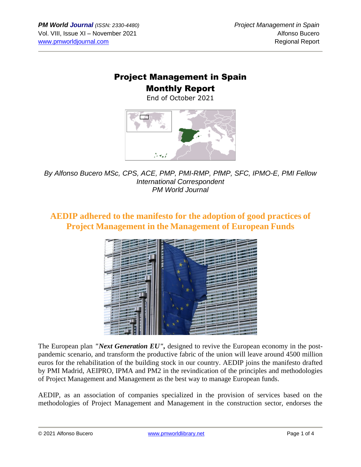## Project Management in Spain

### Monthly Report

End of October 2021



*By Alfonso Bucero MSc, CPS, ACE, PMP, PMI-RMP, PfMP, SFC, IPMO-E, PMI Fellow International Correspondent PM World Journal*

#### **AEDIP adhered to the manifesto for the adoption of good practices of Project Management in the Management of European Funds**



The European plan *"Next Generation EU",* designed to revive the European economy in the postpandemic scenario, and transform the productive fabric of the union will leave around 4500 million euros for the rehabilitation of the building stock in our country. AEDIP joins the manifesto drafted by PMI Madrid, AEIPRO, IPMA and PM2 in the revindication of the principles and methodologies of Project Management and Management as the best way to manage European funds.

AEDIP, as an association of companies specialized in the provision of services based on the methodologies of Project Management and Management in the construction sector, endorses the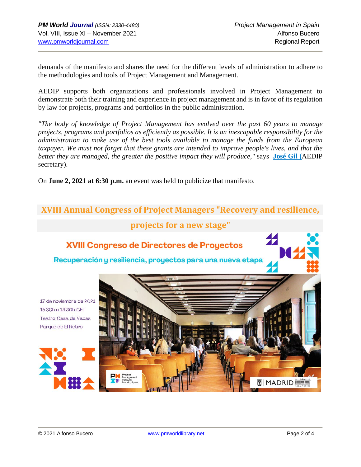demands of the manifesto and shares the need for the different levels of administration to adhere to the methodologies and tools of Project Management and Management.

AEDIP supports both organizations and professionals involved in Project Management to demonstrate both their training and experience in project management and is in favor of its regulation by law for projects, programs and portfolios in the public administration.

*"The body of knowledge of Project Management has evolved over the past 60 years to manage projects, programs and portfolios as efficiently as possible. It is an inescapable responsibility for the administration to make use of the best tools available to manage the funds from the European taxpayer. We must not forget that these grants are intended to improve people's lives, and that the better they are managed, the greater the positive impact they will produce,"* says **[José](https://www.linkedin.com/in/josejgil/) Gil (**AEDIP secretary).

On **June 2, 2021 at 6:30 p.m.** an event was held to publicize that manifesto.

# **XVIII Annual Congress of Project Managers "Recovery and resilience, projects for a new stage"**XVIII Congreso de Directores de Proyectos Recuperación y resiliencia, proyectos para una nueva etapa 17 de noviembre de 2021 15:30h a 19:30h CET Teatro Casa de Vacas Parque de El Retiro  $MADRID \equiv 1$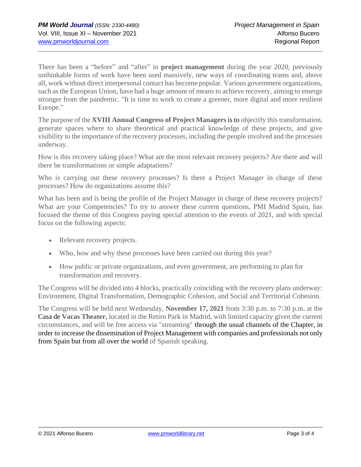There has been a "before" and "after" in **project management** during the year 2020, previously unthinkable forms of work have been used massively, new ways of coordinating teams and, above all, work without direct interpersonal contact has become popular. Various government organizations, such as the European Union, have had a huge amount of means to achieve recovery, aiming to emerge stronger from the pandemic. "It is time to work to create a greener, more digital and more resilient Europe."

The purpose of the **XVIII Annual Congress of Project Managers** is to objectify this transformation, generate spaces where to share theoretical and practical knowledge of these projects, and give visibility to the importance of the recovery processes, including the people involved and the processes underway.

How is this recovery taking place? What are the most relevant recovery projects? Are there and will there be transformations or simple adaptations?

Who is carrying out these recovery processes? Is there a Project Manager in charge of these processes? How do organizations assume this?

What has been and is being the profile of the Project Manager in charge of these recovery projects? What are your Competencies? To try to answer these current questions, PMI Madrid Spain, has focused the theme of this Congress paying special attention to the events of 2021, and with special focus on the following aspects:

- Relevant recovery projects.
- Who, how and why these processes have been carried out during this year?
- How public or private organizations, and even government, are performing to plan for transformation and recovery.

The Congress will be divided into 4 blocks, practically coinciding with the recovery plans underway: Environment, Digital Transformation, Demographic Cohesion, and Social and Territorial Cohesion.

The Congress will be held next Wednesday, **November 17, 2021** from 3:30 p.m. to 7:30 p.m. at the Casa de **Vacas Theater,** located in the Retiro Park in Madrid, with limited capacity given the current circumstances, and will be free access via "streaming" through the usual channels of the Chapter, in order to increase the dissemination of Project Management with companies and professionals not only from Spain but from all over the world of Spanish speaking.